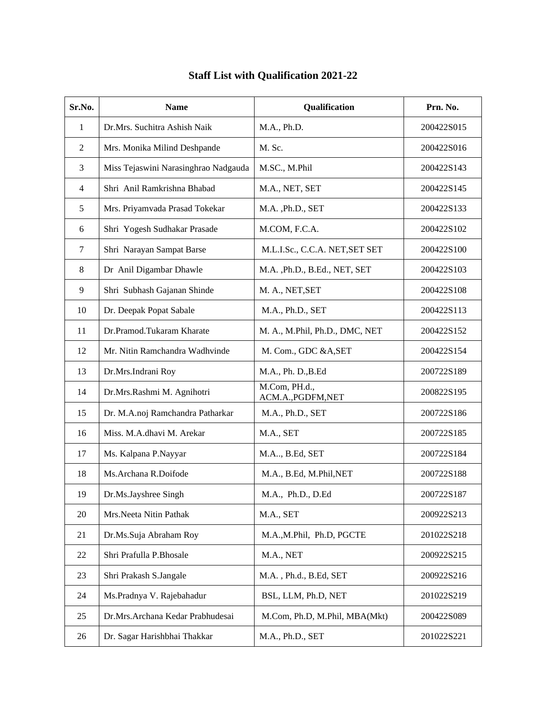| Sr.No.         | <b>Name</b>                          | Qualification                       | Prn. No.   |
|----------------|--------------------------------------|-------------------------------------|------------|
| 1              | Dr.Mrs. Suchitra Ashish Naik         | M.A., Ph.D.                         | 200422S015 |
| $\overline{2}$ | Mrs. Monika Milind Deshpande         | M. Sc.                              | 200422S016 |
| 3              | Miss Tejaswini Narasinghrao Nadgauda | M.SC., M.Phil                       | 200422S143 |
| $\overline{4}$ | Shri Anil Ramkrishna Bhabad          | M.A., NET, SET                      | 200422S145 |
| 5              | Mrs. Priyamvada Prasad Tokekar       | M.A., Ph.D., SET                    | 200422S133 |
| 6              | Shri Yogesh Sudhakar Prasade         | M.COM, F.C.A.                       | 200422S102 |
| 7              | Shri Narayan Sampat Barse            | M.L.I.Sc., C.C.A. NET, SET SET      | 200422S100 |
| 8              | Dr Anil Digambar Dhawle              | M.A., Ph.D., B.Ed., NET, SET        | 200422S103 |
| 9              | Shri Subhash Gajanan Shinde          | M. A., NET, SET                     | 200422S108 |
| 10             | Dr. Deepak Popat Sabale              | M.A., Ph.D., SET                    | 200422S113 |
| 11             | Dr.Pramod.Tukaram Kharate            | M. A., M.Phil, Ph.D., DMC, NET      | 200422S152 |
| 12             | Mr. Nitin Ramchandra Wadhvinde       | M. Com., GDC &A, SET                | 200422S154 |
| 13             | Dr.Mrs.Indrani Roy                   | M.A., Ph. D., B. Ed                 | 200722S189 |
| 14             | Dr.Mrs.Rashmi M. Agnihotri           | M.Com, PH.d.,<br>ACM.A., PGDFM, NET | 200822S195 |
| 15             | Dr. M.A.noj Ramchandra Patharkar     | M.A., Ph.D., SET                    | 200722S186 |
| 16             | Miss. M.A.dhavi M. Arekar            | M.A., SET                           | 200722S185 |
| 17             | Ms. Kalpana P.Nayyar                 | M.A., B.Ed, SET                     | 200722S184 |
| 18             | Ms.Archana R.Doifode                 | M.A., B.Ed, M.Phil, NET             | 200722S188 |
| 19             | Dr.Ms.Jayshree Singh                 | M.A., Ph.D., D.Ed                   | 200722S187 |
| 20             | Mrs.Neeta Nitin Pathak               | M.A., SET                           | 200922S213 |
| 21             | Dr.Ms.Suja Abraham Roy               | M.A., M.Phil, Ph.D, PGCTE           | 201022S218 |
| 22             | Shri Prafulla P.Bhosale              | M.A., NET                           | 200922S215 |
| 23             | Shri Prakash S.Jangale               | M.A., Ph.d., B.Ed, SET              | 200922S216 |
| 24             | Ms.Pradnya V. Rajebahadur            | BSL, LLM, Ph.D, NET                 | 201022S219 |
| 25             | Dr.Mrs.Archana Kedar Prabhudesai     | M.Com, Ph.D, M.Phil, MBA(Mkt)       | 200422S089 |
| 26             | Dr. Sagar Harishbhai Thakkar         | M.A., Ph.D., SET                    | 201022S221 |

## **Staff List with Qualification 2021-22**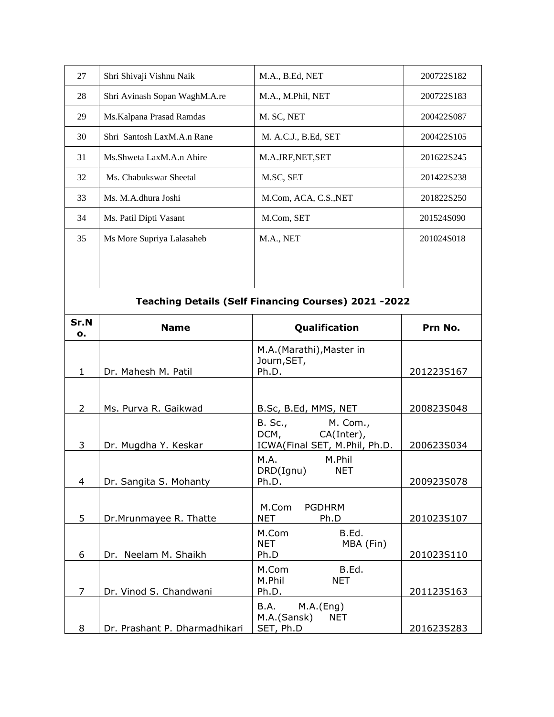| 27 | Shri Shivaji Vishnu Naik      | M.A., B.Ed, NET       | 200722S182 |
|----|-------------------------------|-----------------------|------------|
| 28 | Shri Avinash Sopan WaghM.A.re | M.A., M.Phil, NET     | 200722S183 |
| 29 | Ms. Kalpana Prasad Ramdas     | M. SC, NET            | 200422S087 |
| 30 | Shri Santosh LaxM.A.n Rane    | M. A.C.J., B.Ed, SET  | 200422S105 |
| 31 | Ms.Shweta LaxM.A.n Ahire      | M.A.JRF, NET, SET     | 201622S245 |
| 32 | Ms. Chabukswar Sheetal        | M.SC, SET             | 201422S238 |
| 33 | Ms. M.A.dhura Joshi           | M.Com, ACA, C.S., NET | 201822S250 |
| 34 | Ms. Patil Dipti Vasant        | M.Com, SET            | 201524S090 |
| 35 | Ms More Supriya Lalasaheb     | M.A., NET             | 201024S018 |
|    |                               |                       |            |
|    |                               |                       |            |

| Teaching Details (Self Financing Courses) 2021 -2022 |                               |                                                                      |            |
|------------------------------------------------------|-------------------------------|----------------------------------------------------------------------|------------|
| Sr.N<br>о.                                           | <b>Name</b>                   | Qualification                                                        | Prn No.    |
| $\mathbf{1}$                                         | Dr. Mahesh M. Patil           | M.A.(Marathi), Master in<br>Journ, SET,<br>Ph.D.                     | 201223S167 |
| $\overline{2}$                                       | Ms. Purva R. Gaikwad          | B.Sc, B.Ed, MMS, NET                                                 | 200823S048 |
| 3                                                    | Dr. Mugdha Y. Keskar          | B. Sc., M. Com.,<br>DCM, CA(Inter),<br>ICWA(Final SET, M.Phil, Ph.D. | 200623S034 |
| 4                                                    | Dr. Sangita S. Mohanty        | M.A. M.Phil<br>DRD(Ignu) NET<br>Ph.D. $\qquad \qquad$                | 200923S078 |
| 5                                                    | Dr.Mrunmayee R. Thatte        | M.Com PGDHRM<br><b>NET</b><br>Ph.D                                   | 201023S107 |
| 6                                                    | Dr. Neelam M. Shaikh          | M.Com<br>B.Ed.<br><b>NET</b><br>MBA (Fin)<br>Ph.D                    | 201023S110 |
| 7                                                    | Dr. Vinod S. Chandwani        | B.Ed.<br>M.Com<br>M.Phil NET<br>Ph.D. $\qquad \qquad$                | 201123S163 |
| 8                                                    | Dr. Prashant P. Dharmadhikari | B.A. M.A.(Eng)<br>M.A.(Sansk)<br><b>NET</b><br>SET, Ph.D             | 201623S283 |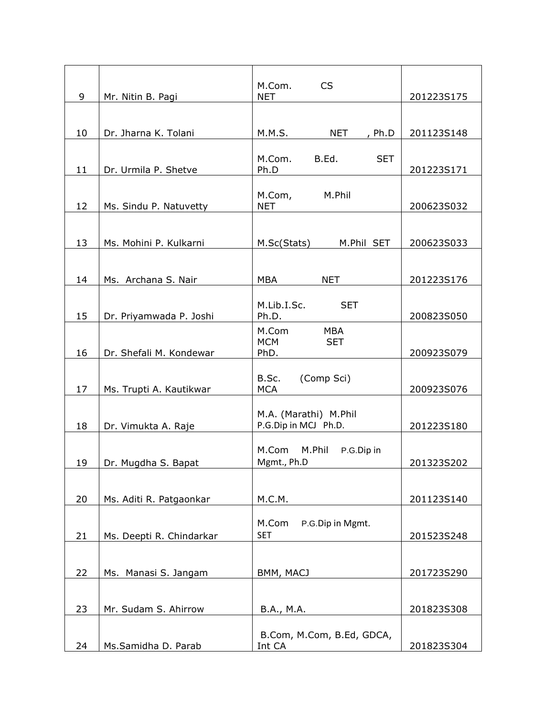|    |                          | M.Com.<br><b>CS</b>                           |            |
|----|--------------------------|-----------------------------------------------|------------|
| 9  | Mr. Nitin B. Pagi        | <b>NET</b>                                    | 201223S175 |
|    |                          |                                               |            |
| 10 | Dr. Jharna K. Tolani     | <b>NET</b><br>M.M.S.<br>, $Ph.D$              | 201123S148 |
|    |                          |                                               |            |
| 11 | Dr. Urmila P. Shetve     | B.Ed.<br><b>SET</b><br>M.Com.<br>Ph.D         | 201223S171 |
|    |                          |                                               |            |
| 12 | Ms. Sindu P. Natuvetty   | M.Com, M.Phil<br><b>NET</b>                   | 200623S032 |
|    |                          |                                               |            |
| 13 | Ms. Mohini P. Kulkarni   | M.Sc(Stats)<br>M.Phil SET                     | 200623S033 |
|    |                          |                                               |            |
| 14 | Ms. Archana S. Nair      | MBA<br><b>NET</b>                             | 201223S176 |
|    |                          |                                               |            |
| 15 | Dr. Priyamwada P. Joshi  | M.Lib.I.Sc. SET<br>Ph.D.                      | 200823S050 |
|    |                          | M.Com<br><b>MBA</b>                           |            |
| 16 | Dr. Shefali M. Kondewar  | <b>MCM</b><br><b>SET</b><br>PhD.              | 200923S079 |
|    |                          |                                               |            |
| 17 | Ms. Trupti A. Kautikwar  | B.Sc.<br>(Comp Sci)<br><b>MCA</b>             | 200923S076 |
|    |                          |                                               |            |
|    |                          | M.A. (Marathi) M.Phil<br>P.G.Dip in MCJ Ph.D. |            |
| 18 | Dr. Vimukta A. Raje      |                                               | 201223S180 |
|    |                          | M.Com M.Phil P.G.Dip in                       |            |
| 19 | Dr. Mugdha S. Bapat      | Mgmt., Ph.D                                   | 201323S202 |
|    |                          |                                               |            |
| 20 | Ms. Aditi R. Patgaonkar  | M.C.M.                                        | 201123S140 |
|    |                          | M.Com<br>P.G.Dip in Mgmt.                     |            |
| 21 | Ms. Deepti R. Chindarkar | <b>SET</b>                                    | 201523S248 |
|    |                          |                                               |            |
| 22 | Ms. Manasi S. Jangam     | BMM, MACJ                                     | 201723S290 |
|    |                          |                                               |            |
| 23 | Mr. Sudam S. Ahirrow     | B.A., M.A.                                    | 201823S308 |
|    |                          | B.Com, M.Com, B.Ed, GDCA,                     |            |
| 24 | Ms.Samidha D. Parab      | Int CA                                        | 201823S304 |